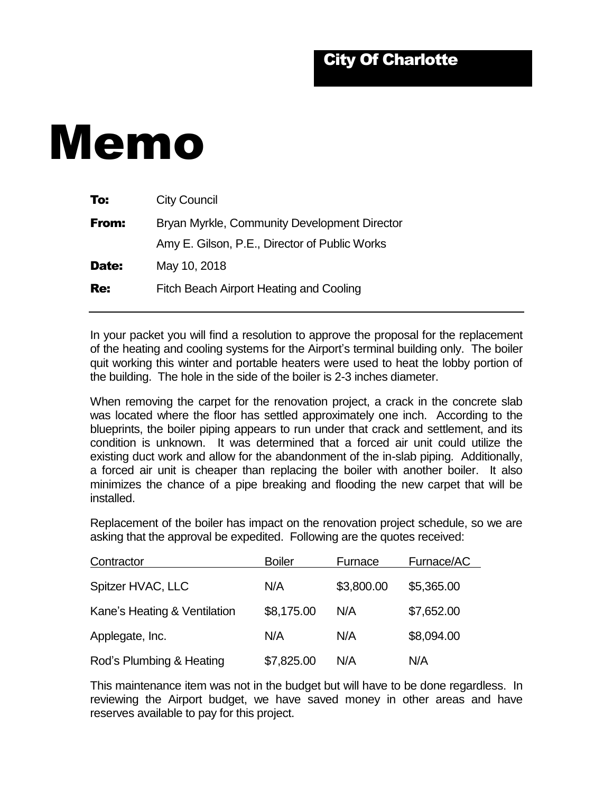## Memo

| To:          | <b>City Council</b>                           |  |  |
|--------------|-----------------------------------------------|--|--|
| From:        | Bryan Myrkle, Community Development Director  |  |  |
|              | Amy E. Gilson, P.E., Director of Public Works |  |  |
| <b>Date:</b> | May 10, 2018                                  |  |  |
| Re:          | Fitch Beach Airport Heating and Cooling       |  |  |
|              |                                               |  |  |

In your packet you will find a resolution to approve the proposal for the replacement of the heating and cooling systems for the Airport's terminal building only. The boiler quit working this winter and portable heaters were used to heat the lobby portion of the building. The hole in the side of the boiler is 2-3 inches diameter.

When removing the carpet for the renovation project, a crack in the concrete slab was located where the floor has settled approximately one inch. According to the blueprints, the boiler piping appears to run under that crack and settlement, and its condition is unknown. It was determined that a forced air unit could utilize the existing duct work and allow for the abandonment of the in-slab piping. Additionally, a forced air unit is cheaper than replacing the boiler with another boiler. It also minimizes the chance of a pipe breaking and flooding the new carpet that will be installed.

Replacement of the boiler has impact on the renovation project schedule, so we are asking that the approval be expedited. Following are the quotes received:

| Contractor                   | <b>Boiler</b> | Furnace    | Furnace/AC |
|------------------------------|---------------|------------|------------|
| Spitzer HVAC, LLC            | N/A           | \$3,800.00 | \$5,365.00 |
| Kane's Heating & Ventilation | \$8,175.00    | N/A        | \$7,652.00 |
| Applegate, Inc.              | N/A           | N/A        | \$8,094.00 |
| Rod's Plumbing & Heating     | \$7,825.00    | N/A        | N/A        |

This maintenance item was not in the budget but will have to be done regardless. In reviewing the Airport budget, we have saved money in other areas and have reserves available to pay for this project.